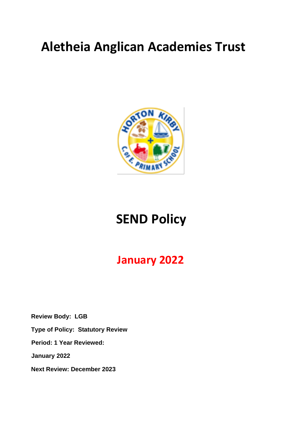# **Aletheia Anglican Academies Trust**



# **SEND Policy**

# **January 2022**

**Review Body: LGB Type of Policy: Statutory Review Period: 1 Year Reviewed: January 2022 Next Review: December 2023**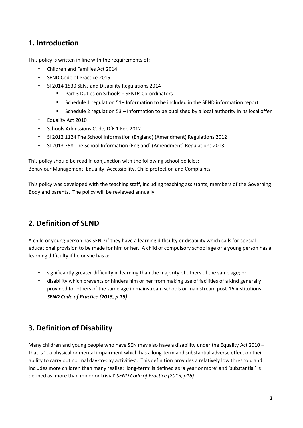### **1. Introduction**

This policy is written in line with the requirements of:

- Children and Families Act 2014
- SEND Code of Practice 2015
- SI 2014 1530 SENs and Disability Regulations 2014
	- Part 3 Duties on Schools SENDs Co-ordinators
	- Schedule 1 regulation 51– Information to be included in the SEND information report
	- Schedule 2 regulation 53 Information to be published by a local authority in its local offer
- Equality Act 2010
- Schools Admissions Code, DfE 1 Feb 2012
- SI 2012 1124 The School Information (England) (Amendment) Regulations 2012
- SI 2013 758 The School Information (England) (Amendment) Regulations 2013

This policy should be read in conjunction with the following school policies: Behaviour Management, Equality, Accessibility, Child protection and Complaints.

This policy was developed with the teaching staff, including teaching assistants, members of the Governing Body and parents. The policy will be reviewed annually.

### **2. Definition of SEND**

A child or young person has SEND if they have a learning difficulty or disability which calls for special educational provision to be made for him or her. A child of compulsory school age or a young person has a learning difficulty if he or she has a:

- significantly greater difficulty in learning than the majority of others of the same age; or
- disability which prevents or hinders him or her from making use of facilities of a kind generally provided for others of the same age in mainstream schools or mainstream post-16 institutions *SEND Code of Practice (2015, p 15)*

### **3. Definition of Disability**

Many children and young people who have SEN may also have a disability under the Equality Act 2010 that is '…a physical or mental impairment which has a long-term and substantial adverse effect on their ability to carry out normal day-to-day activities'. This definition provides a relatively low threshold and includes more children than many realise: 'long-term' is defined as 'a year or more' and 'substantial' is defined as 'more than minor or trivial' *SEND Code of Practice (2015, p16)*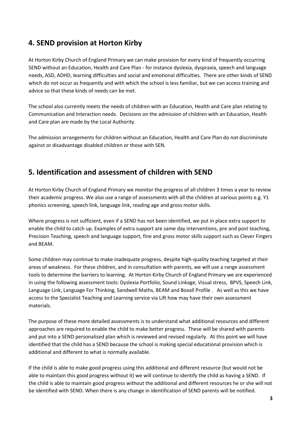### **4. SEND provision at Horton Kirby**

At Horton Kirby Church of England Primary we can make provision for every kind of frequently occurring SEND without an Education, Health and Care Plan - for instance dyslexia, dyspraxia, speech and language needs, ASD, ADHD, learning difficulties and social and emotional difficulties. There are other kinds of SEND which do not occur as frequently and with which the school is less familiar, but we can access training and advice so that these kinds of needs can be met.

The school also currently meets the needs of children with an Education, Health and Care plan relating to Communication and Interaction needs. Decisions on the admission of children with an Education, Health and Care plan are made by the Local Authority.

The admission arrangements for children without an Education, Health and Care Plan do not discriminate against or disadvantage disabled children or those with SEN.

### **5. Identification and assessment of children with SEND**

At Horton Kirby Church of England Primary we monitor the progress of all children 3 times a year to review their academic progress. We also use a range of assessments with all the children at various points e.g. Y1 phonics screening, speech link, language link, reading age and gross motor skills.

Where progress is not sufficient, even if a SEND has not been identified, we put in place extra support to enable the child to catch up. Examples of extra support are same day interventions, pre and post teaching, Precision Teaching, speech and language support, fine and gross motor skills support such as Clever Fingers and BEAM.

Some children may continue to make inadequate progress, despite high-quality teaching targeted at their areas of weakness. For these children, and in consultation with parents, we will use a range assessment tools to determine the barriers to learning. At Horton Kirby Church of England Primary we are experienced in using the following assessment tools: Dyslexia Portfolio, Sound Linkage, Visual stress, BPVS, Speech Link, Language Link, Language For Thinking, Sandwell Maths, BEAM and Boxall Profile . As well as this we have access to the Specialist Teaching and Learning service via Lift how may have their own assessment materials.

The purpose of these more detailed assessments is to understand what additional resources and different approaches are required to enable the child to make better progress. These will be shared with parents and put into a SEND personalised plan which is reviewed and revised regularly. At this point we will have identified that the child has a SEND because the school is making special educational provision which is additional and different to what is normally available.

If the child is able to make good progress using this additional and different resource (but would not be able to maintain this good progress without it) we will continue to identify the child as having a SEND. If the child is able to maintain good progress without the additional and different resources he or she will not be identified with SEND. When there is any change in identification of SEND parents will be notified.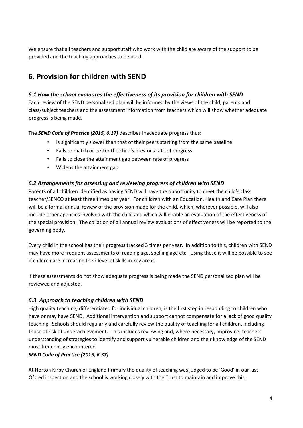We ensure that all teachers and support staff who work with the child are aware of the support to be provided and the teaching approaches to be used.

### **6. Provision for children with SEND**

#### *6.1 How the school evaluates the effectiveness of its provision for children with SEND*

Each review of the SEND personalised plan will be informed by the views of the child, parents and class/subject teachers and the assessment information from teachers which will show whether adequate progress is being made.

The *SEND Code of Practice (2015, 6.17)* describes inadequate progress thus:

- Is significantly slower than that of their peers starting from the same baseline
- Fails to match or better the child's previous rate of progress
- Fails to close the attainment gap between rate of progress
- Widens the attainment gap

#### *6.2 Arrangements for assessing and reviewing progress of children with SEND*

Parents of all children identified as having SEND will have the opportunity to meet the child's class teacher/SENCO at least three times per year. For children with an Education, Health and Care Plan there will be a formal annual review of the provision made for the child, which, wherever possible, will also include other agencies involved with the child and which will enable an evaluation of the effectiveness of the special provision. The collation of all annual review evaluations of effectiveness will be reported to the governing body.

Every child in the school has their progress tracked 3 times per year. In addition to this, children with SEND may have more frequent assessments of reading age, spelling age etc. Using these it will be possible to see if children are increasing their level of skills in key areas.

If these assessments do not show adequate progress is being made the SEND personalised plan will be reviewed and adjusted.

#### *6.3. Approach to teaching children with SEND*

High quality teaching, differentiated for individual children, is the first step in responding to children who have or may have SEND. Additional intervention and support cannot compensate for a lack of good quality teaching. Schools should regularly and carefully review the quality of teaching for all children, including those at risk of underachievement. This includes reviewing and, where necessary, improving, teachers' understanding of strategies to identify and support vulnerable children and their knowledge of the SEND most frequently encountered

#### *SEND Code of Practice (2015, 6.37)*

At Horton Kirby Church of England Primary the quality of teaching was judged to be 'Good' in our last Ofsted inspection and the school is working closely with the Trust to maintain and improve this.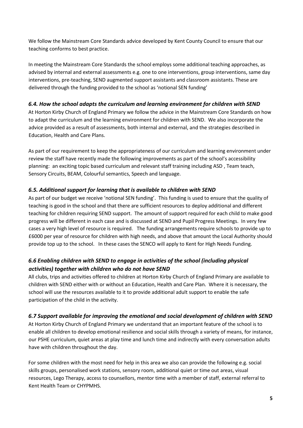We follow the Mainstream Core Standards advice developed by Kent County Council to ensure that our teaching conforms to best practice.

In meeting the Mainstream Core Standards the school employs some additional teaching approaches, as advised by internal and external assessments e.g. one to one interventions, group interventions, same day interventions, pre-teaching, SEND augmented support assistants and classroom assistants. These are delivered through the funding provided to the school as 'notional SEN funding'

#### *6.4. How the school adapts the curriculum and learning environment for children with SEND*

At Horton Kirby Church of England Primary we follow the advice in the Mainstream Core Standards on how to adapt the curriculum and the learning environment for children with SEND. We also incorporate the advice provided as a result of assessments, both internal and external, and the strategies described in Education, Health and Care Plans.

As part of our requirement to keep the appropriateness of our curriculum and learning environment under review the staff have recently made the following improvements as part of the school's accessibility planning: an exciting topic based curriculum and relevant staff training including ASD , Team teach, Sensory Circuits, BEAM, Colourful semantics, Speech and language.

#### *6.5. Additional support for learning that is available to children with SEND*

As part of our budget we receive 'notional SEN funding'. This funding is used to ensure that the quality of teaching is good in the school and that there are sufficient resources to deploy additional and different teaching for children requiring SEND support. The amount of support required for each child to make good progress will be different in each case and is discussed at SEND and Pupil Progress Meetings. In very few cases a very high level of resource is required. The funding arrangements require schools to provide up to £6000 per year of resource for children with high needs, and above that amount the Local Authority should provide top up to the school. In these cases the SENCO will apply to Kent for High Needs Funding.

#### *6.6 Enabling children with SEND to engage in activities of the school (including physical activities) together with children who do not have SEND*

All clubs, trips and activities offered to children at Horton Kirby Church of England Primary are available to children with SEND either with or without an Education, Health and Care Plan. Where it is necessary, the school will use the resources available to it to provide additional adult support to enable the safe participation of the child in the activity.

#### *6.7 Support available for improving the emotional and social development of children with SEND*

At Horton Kirby Church of England Primary we understand that an important feature of the school is to enable all children to develop emotional resilience and social skills through a variety of means, for instance, our PSHE curriculum, quiet areas at play time and lunch time and indirectly with every conversation adults have with children throughout the day.

For some children with the most need for help in this area we also can provide the following e.g. social skills groups, personalised work stations, sensory room, additional quiet or time out areas, visual resources, Lego Therapy, access to counsellors, mentor time with a member of staff, external referral to Kent Health Team or CHYPMHS.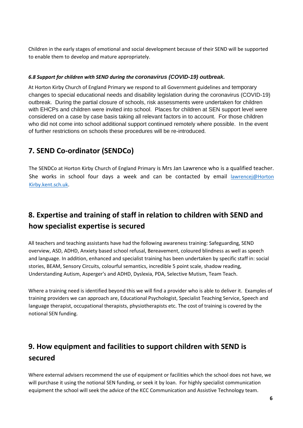Children in the early stages of emotional and social development because of their SEND will be supported to enable them to develop and mature appropriately.

#### *6.8 Support for children with SEND during the coronavirus (COVID-19) outbreak.*

At Horton Kirby Church of England Primary we respond to all Government guidelines and temporary changes to special educational needs and disability legislation during the coronavirus (COVID-19) outbreak. During the partial closure of schools, risk assessments were undertaken for children with EHCPs and children were invited into school. Places for children at SEN support level were considered on a case by case basis taking all relevant factors in to account. For those children who did not come into school additional support continued remotely where possible. In the event of further restrictions on schools these procedures will be re-introduced.

### **7. SEND Co-ordinator (SENDCo)**

The SENDCo at Horton Kirby Church of England Primary is Mrs Jan Lawrence who is a qualified teacher. She works in school four days a week and can be contacted by email lawrencej@Horton [Kirby.kent.sch.uk.](mailto:senco@rosherville.kent.sch.uk)

### **8. Expertise and training of staff in relation to children with SEND and how specialist expertise is secured**

All teachers and teaching assistants have had the following awareness training: Safeguarding, SEND overview, ASD, ADHD, Anxiety based school refusal, Bereavement, coloured blindness as well as speech and language. In addition, enhanced and specialist training has been undertaken by specific staff in: social stories, BEAM, Sensory Circuits, colourful semantics, incredible 5 point scale, shadow reading, Understanding Autism, Asperger's and ADHD, Dyslexia, PDA, Selective Mutism, Team Teach.

Where a training need is identified beyond this we will find a provider who is able to deliver it. Examples of training providers we can approach are, Educational Psychologist, Specialist Teaching Service, Speech and language therapist, occupational therapists, physiotherapists etc. The cost of training is covered by the notional SEN funding.

## **9. How equipment and facilities to support children with SEND is secured**

Where external advisers recommend the use of equipment or facilities which the school does not have, we will purchase it using the notional SEN funding, or seek it by loan. For highly specialist communication equipment the school will seek the advice of the KCC Communication and Assistive Technology team.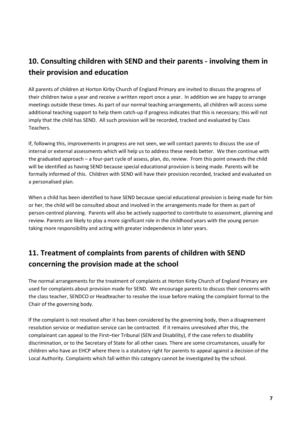## **10. Consulting children with SEND and their parents - involving them in their provision and education**

All parents of children at Horton Kirby Church of England Primary are invited to discuss the progress of their children twice a year and receive a written report once a year. In addition we are happy to arrange meetings outside these times. As part of our normal teaching arrangements, all children will access some additional teaching support to help them catch-up if progress indicates that this is necessary; this will not imply that the child has SEND. All such provision will be recorded, tracked and evaluated by Class Teachers.

If, following this, improvements in progress are not seen, we will contact parents to discuss the use of internal or external assessments which will help us to address these needs better. We then continue with the graduated approach – a four-part cycle of assess, plan, do, review. From this point onwards the child will be identified as having SEND because special educational provision is being made. Parents will be formally informed of this. Children with SEND will have their provision recorded, tracked and evaluated on a personalised plan.

When a child has been identified to have SEND because special educational provision is being made for him or her, the child will be consulted about and involved in the arrangements made for them as part of person-centred planning. Parents will also be actively supported to contribute to assessment, planning and review. Parents are likely to play a more significant role in the childhood years with the young person taking more responsibility and acting with greater independence in later years.

# **11. Treatment of complaints from parents of children with SEND concerning the provision made at the school**

The normal arrangements for the treatment of complaints at Horton Kirby Church of England Primary are used for complaints about provision made for SEND. We encourage parents to discuss their concerns with the class teacher, SENDCO or Headteacher to resolve the issue before making the complaint formal to the Chair of the governing body.

If the complaint is not resolved after it has been considered by the governing body, then a disagreement resolution service or mediation service can be contracted. If it remains unresolved after this, the complainant can appeal to the First–tier Tribunal (SEN and Disability), if the case refers to disability discrimination, or to the Secretary of State for all other cases. There are some circumstances, usually for children who have an EHCP where there is a statutory right for parents to appeal against a decision of the Local Authority. Complaints which fall within this category cannot be investigated by the school.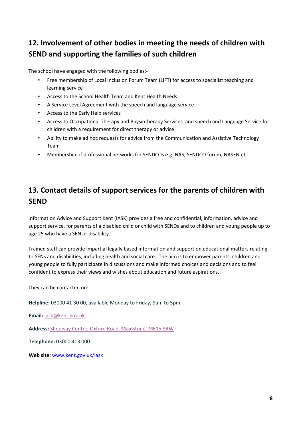## **12. Involvement of other bodies in meeting the needs of children with SEND and supporting the families of such children**

The school have engaged with the following bodies:-

- Free membership of Local Inclusion Forum Team (LIFT) for access to specialist teaching and learning service
- Access to the School Health Team and Kent Health Needs
- A Service Level Agreement with the speech and language service
- Access to the Early Help services
- Access to Occupational Therapy and Physiotherapy Services and speech and Language Service for children with a requirement for direct therapy or advice
- Ability to make ad hoc requests for advice from the Communication and Assistive Technology Team
- Membership of professional networks for SENDCOs e.g. NAS, SENDCO forum, NASEN etc.

### **13. Contact details of support services for the parents of children with SEND**

Information Advice and Support Kent (IASK) provides a free and confidential, information, advice and support service, for parents of a disabled child or child with SENDs and to children and young people up to age 25 who have a SEN or disability.

Trained staff can provide impartial legally based information and support on educational matters relating to SENs and disabilities, including health and social care. The aim is to empower parents, children and young people to fully participate in discussions and make informed choices and decisions and to feel confident to express their views and wishes about education and future aspirations.

They can be contacted on:

**Helpline:** 03000 41 30 00, available Monday to Friday, 9am to 5pm

**Email:** [iask@kent.gov.uk](mailto:iask@kent.gov.uk)

**Address:** [Shepway Centre, Oxford Road, Maidstone, ME15 8AW](https://goo.gl/maps/bicyZxS4U52mCfQp8)

**Telephone:** 03000 413 000

**Web site:** [www.kent.gov.uk/iask](http://www.kent.gov.uk/iask)